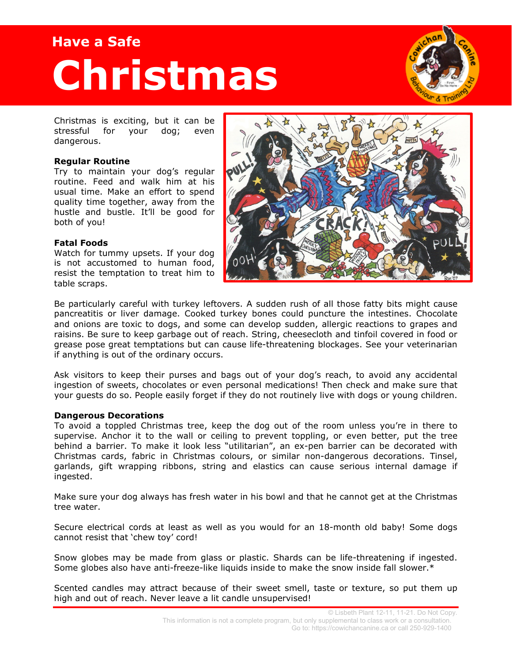# **Have a Safe Christmas**



Christmas is exciting, but it can be stressful for your dog; even dangerous.

### **Regular Routine**

Try to maintain your dog's regular routine. Feed and walk him at his usual time. Make an effort to spend quality time together, away from the hustle and bustle. It'll be good for both of you!

#### **Fatal Foods**

Watch for tummy upsets. If your dog is not accustomed to human food, resist the temptation to treat him to table scraps.



Be particularly careful with turkey leftovers. A sudden rush of all those fatty bits might cause pancreatitis or liver damage. Cooked turkey bones could puncture the intestines. Chocolate and onions are toxic to dogs, and some can develop sudden, allergic reactions to grapes and raisins. Be sure to keep garbage out of reach. String, cheesecloth and tinfoil covered in food or grease pose great temptations but can cause life-threatening blockages. See your veterinarian if anything is out of the ordinary occurs.

Ask visitors to keep their purses and bags out of your dog's reach, to avoid any accidental ingestion of sweets, chocolates or even personal medications! Then check and make sure that your guests do so. People easily forget if they do not routinely live with dogs or young children.

#### **Dangerous Decorations**

To avoid a toppled Christmas tree, keep the dog out of the room unless you're in there to supervise. Anchor it to the wall or ceiling to prevent toppling, or even better, put the tree behind a barrier. To make it look less "utilitarian", an ex-pen barrier can be decorated with Christmas cards, fabric in Christmas colours, or similar non-dangerous decorations. Tinsel, garlands, gift wrapping ribbons, string and elastics can cause serious internal damage if ingested.

Make sure your dog always has fresh water in his bowl and that he cannot get at the Christmas tree water.

Secure electrical cords at least as well as you would for an 18-month old baby! Some dogs cannot resist that 'chew toy' cord!

Snow globes may be made from glass or plastic. Shards can be life-threatening if ingested. Some globes also have anti-freeze-like liquids inside to make the snow inside fall slower.\*

Scented candles may attract because of their sweet smell, taste or texture, so put them up high and out of reach. Never leave a lit candle unsupervised!

> © Lisbeth Plant 12-11, 11-21. Do Not Copy. This information is not a complete program, but only supplemental to class work or a consultation. Go to: https://cowichancanine.ca or call 250-929-1400